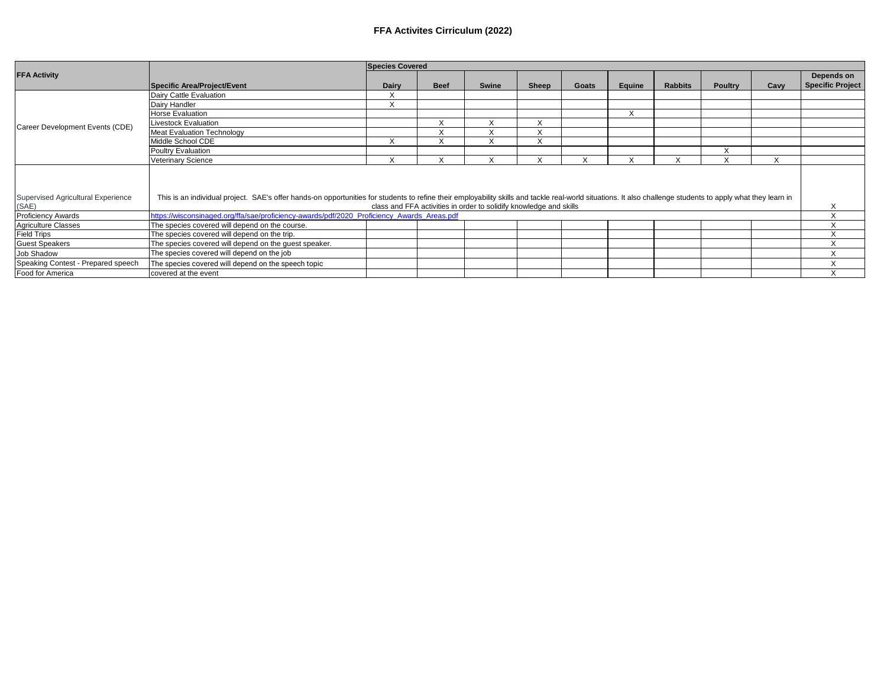## **FFA Activites Cirriculum (2022)**

|                                             |                                                                                                                                                                                                                                                                                    | <b>Species Covered</b> |              |           |           |       |        |                |                |           |                                       |  |
|---------------------------------------------|------------------------------------------------------------------------------------------------------------------------------------------------------------------------------------------------------------------------------------------------------------------------------------|------------------------|--------------|-----------|-----------|-------|--------|----------------|----------------|-----------|---------------------------------------|--|
| <b>FFA Activity</b>                         | Specific Area/Project/Event                                                                                                                                                                                                                                                        | Dairy                  | <b>Beef</b>  | Swine     | Sheep     | Goats | Equine | <b>Rabbits</b> | <b>Poultry</b> | Cavv      | Depends on<br><b>Specific Project</b> |  |
|                                             |                                                                                                                                                                                                                                                                                    |                        |              |           |           |       |        |                |                |           |                                       |  |
| Career Development Events (CDE)             | Dairy Cattle Evaluation                                                                                                                                                                                                                                                            |                        |              |           |           |       |        |                |                |           |                                       |  |
|                                             | Dairy Handler                                                                                                                                                                                                                                                                      | X                      |              |           |           |       |        |                |                |           |                                       |  |
|                                             | <b>Horse Evaluation</b>                                                                                                                                                                                                                                                            |                        |              |           |           |       | X      |                |                |           |                                       |  |
|                                             | <b>Livestock Evaluation</b>                                                                                                                                                                                                                                                        |                        | $\checkmark$ |           |           |       |        |                |                |           |                                       |  |
|                                             | <b>Meat Evaluation Technology</b>                                                                                                                                                                                                                                                  |                        |              |           |           |       |        |                |                |           |                                       |  |
|                                             | Middle School CDE                                                                                                                                                                                                                                                                  |                        | $\lambda$    | $\lambda$ | $\lambda$ |       |        |                |                |           |                                       |  |
|                                             | Poultry Evaluation                                                                                                                                                                                                                                                                 |                        |              |           |           |       |        |                | $\lambda$      |           |                                       |  |
|                                             | <b>Veterinary Science</b>                                                                                                                                                                                                                                                          | X                      |              |           |           |       | ⋏      |                |                | $\lambda$ |                                       |  |
| Supervised Agricultural Experience<br>(SAE) | This is an individual project. SAE's offer hands-on opportunities for students to refine their employability skills and tackle real-world situations. It also challenge students to apply what they learn in<br>class and FFA activities in order to solidify knowledge and skills |                        |              |           |           |       |        |                |                |           |                                       |  |
| <b>Proficiency Awards</b>                   | https://wisconsinaged.org/ffa/sae/proficiency-awards/pdf/2020_Proficiency_Awards_Areas.pdf                                                                                                                                                                                         |                        |              |           |           |       |        |                |                |           |                                       |  |
| <b>Agriculture Classes</b>                  | The species covered will depend on the course.                                                                                                                                                                                                                                     |                        |              |           |           |       |        |                |                |           | $\sqrt{}$                             |  |
| <b>Field Trips</b>                          | The species covered will depend on the trip.                                                                                                                                                                                                                                       |                        |              |           |           |       |        |                |                |           | $\sqrt{ }$<br>$\lambda$               |  |
| <b>Guest Speakers</b>                       | The species covered will depend on the guest speaker.                                                                                                                                                                                                                              |                        |              |           |           |       |        |                |                |           | $\sqrt{}$                             |  |
| Job Shadow                                  | The species covered will depend on the job                                                                                                                                                                                                                                         |                        |              |           |           |       |        |                |                |           |                                       |  |
| Speaking Contest - Prepared speech          | The species covered will depend on the speech topic                                                                                                                                                                                                                                |                        |              |           |           |       |        |                |                |           |                                       |  |
| Food for America                            | covered at the event                                                                                                                                                                                                                                                               |                        |              |           |           |       |        |                |                |           | ∧                                     |  |